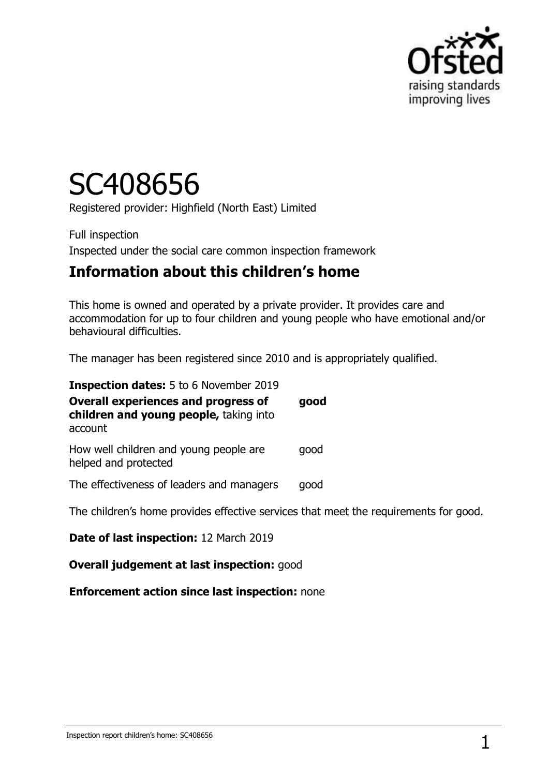

# SC408656

Registered provider: Highfield (North East) Limited

Full inspection Inspected under the social care common inspection framework

# **Information about this children's home**

This home is owned and operated by a private provider. It provides care and accommodation for up to four children and young people who have emotional and/or behavioural difficulties.

The manager has been registered since 2010 and is appropriately qualified.

| <b>Inspection dates:</b> 5 to 6 November 2019                                                   |      |
|-------------------------------------------------------------------------------------------------|------|
| <b>Overall experiences and progress of</b><br>children and young people, taking into<br>account | good |
| How well children and young people are<br>helped and protected                                  | good |
| The effectiveness of leaders and managers                                                       | good |
| The children's home provides effective services that meet the requirements for good.            |      |

**Date of last inspection:** 12 March 2019

**Overall judgement at last inspection:** good

**Enforcement action since last inspection:** none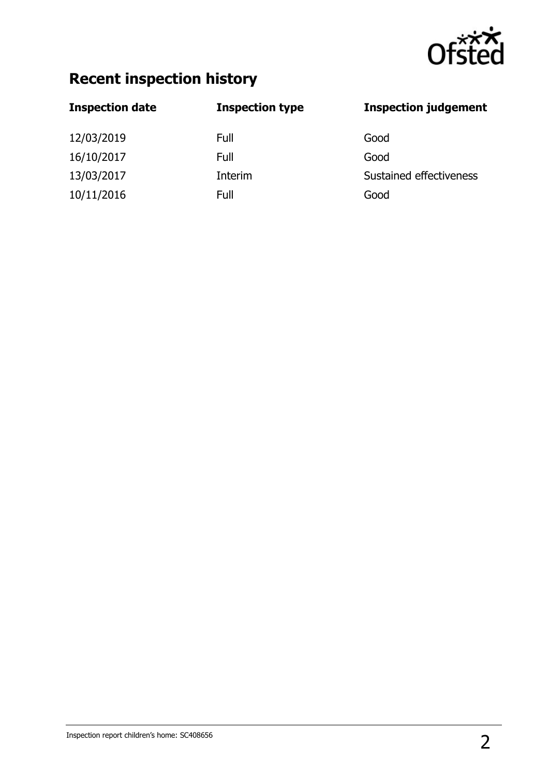

# **Recent inspection history**

| <b>Inspection type</b> | <b>Inspection judgement</b> |
|------------------------|-----------------------------|
| Full                   | Good                        |
| Full                   | Good                        |
| Interim                | Sustained effectiveness     |
| Full                   | Good                        |
|                        |                             |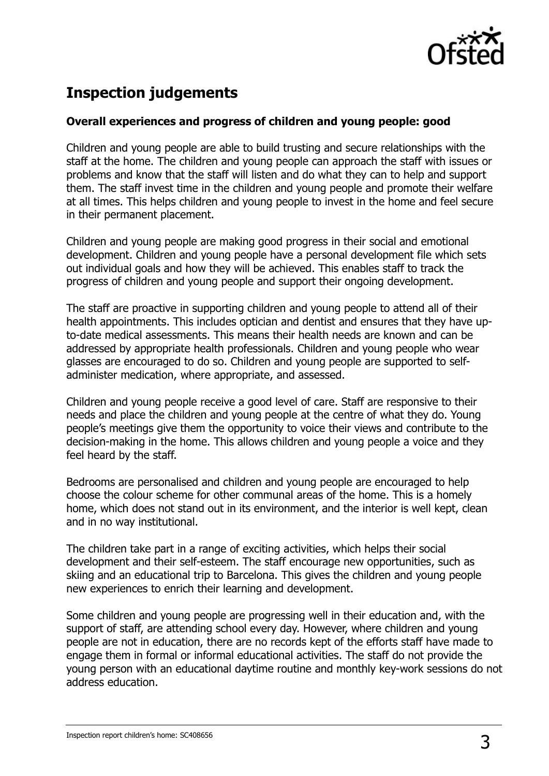

# **Inspection judgements**

#### **Overall experiences and progress of children and young people: good**

Children and young people are able to build trusting and secure relationships with the staff at the home. The children and young people can approach the staff with issues or problems and know that the staff will listen and do what they can to help and support them. The staff invest time in the children and young people and promote their welfare at all times. This helps children and young people to invest in the home and feel secure in their permanent placement.

Children and young people are making good progress in their social and emotional development. Children and young people have a personal development file which sets out individual goals and how they will be achieved. This enables staff to track the progress of children and young people and support their ongoing development.

The staff are proactive in supporting children and young people to attend all of their health appointments. This includes optician and dentist and ensures that they have upto-date medical assessments. This means their health needs are known and can be addressed by appropriate health professionals. Children and young people who wear glasses are encouraged to do so. Children and young people are supported to selfadminister medication, where appropriate, and assessed.

Children and young people receive a good level of care. Staff are responsive to their needs and place the children and young people at the centre of what they do. Young people's meetings give them the opportunity to voice their views and contribute to the decision-making in the home. This allows children and young people a voice and they feel heard by the staff.

Bedrooms are personalised and children and young people are encouraged to help choose the colour scheme for other communal areas of the home. This is a homely home, which does not stand out in its environment, and the interior is well kept, clean and in no way institutional.

The children take part in a range of exciting activities, which helps their social development and their self-esteem. The staff encourage new opportunities, such as skiing and an educational trip to Barcelona. This gives the children and young people new experiences to enrich their learning and development.

Some children and young people are progressing well in their education and, with the support of staff, are attending school every day. However, where children and young people are not in education, there are no records kept of the efforts staff have made to engage them in formal or informal educational activities. The staff do not provide the young person with an educational daytime routine and monthly key-work sessions do not address education.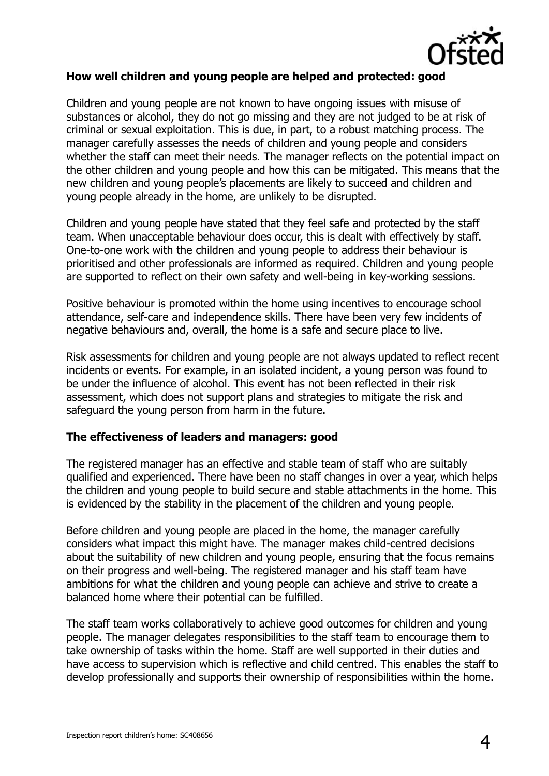

#### **How well children and young people are helped and protected: good**

Children and young people are not known to have ongoing issues with misuse of substances or alcohol, they do not go missing and they are not judged to be at risk of criminal or sexual exploitation. This is due, in part, to a robust matching process. The manager carefully assesses the needs of children and young people and considers whether the staff can meet their needs. The manager reflects on the potential impact on the other children and young people and how this can be mitigated. This means that the new children and young people's placements are likely to succeed and children and young people already in the home, are unlikely to be disrupted.

Children and young people have stated that they feel safe and protected by the staff team. When unacceptable behaviour does occur, this is dealt with effectively by staff. One-to-one work with the children and young people to address their behaviour is prioritised and other professionals are informed as required. Children and young people are supported to reflect on their own safety and well-being in key-working sessions.

Positive behaviour is promoted within the home using incentives to encourage school attendance, self-care and independence skills. There have been very few incidents of negative behaviours and, overall, the home is a safe and secure place to live.

Risk assessments for children and young people are not always updated to reflect recent incidents or events. For example, in an isolated incident, a young person was found to be under the influence of alcohol. This event has not been reflected in their risk assessment, which does not support plans and strategies to mitigate the risk and safeguard the young person from harm in the future.

#### **The effectiveness of leaders and managers: good**

The registered manager has an effective and stable team of staff who are suitably qualified and experienced. There have been no staff changes in over a year, which helps the children and young people to build secure and stable attachments in the home. This is evidenced by the stability in the placement of the children and young people.

Before children and young people are placed in the home, the manager carefully considers what impact this might have. The manager makes child-centred decisions about the suitability of new children and young people, ensuring that the focus remains on their progress and well-being. The registered manager and his staff team have ambitions for what the children and young people can achieve and strive to create a balanced home where their potential can be fulfilled.

The staff team works collaboratively to achieve good outcomes for children and young people. The manager delegates responsibilities to the staff team to encourage them to take ownership of tasks within the home. Staff are well supported in their duties and have access to supervision which is reflective and child centred. This enables the staff to develop professionally and supports their ownership of responsibilities within the home.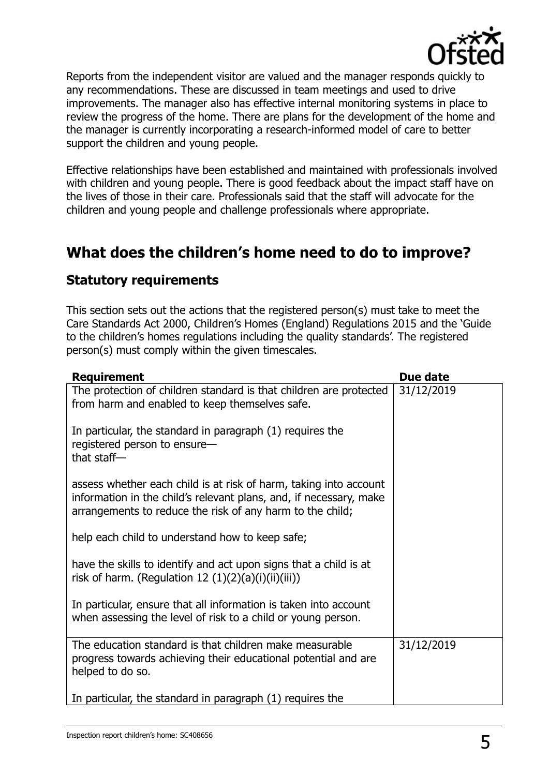

Reports from the independent visitor are valued and the manager responds quickly to any recommendations. These are discussed in team meetings and used to drive improvements. The manager also has effective internal monitoring systems in place to review the progress of the home. There are plans for the development of the home and the manager is currently incorporating a research-informed model of care to better support the children and young people.

Effective relationships have been established and maintained with professionals involved with children and young people. There is good feedback about the impact staff have on the lives of those in their care. Professionals said that the staff will advocate for the children and young people and challenge professionals where appropriate.

# **What does the children's home need to do to improve?**

### **Statutory requirements**

This section sets out the actions that the registered person(s) must take to meet the Care Standards Act 2000, Children's Homes (England) Regulations 2015 and the 'Guide to the children's homes regulations including the quality standards'. The registered person(s) must comply within the given timescales.

| <b>Requirement</b>                                                                                                                                                                                   | Due date   |
|------------------------------------------------------------------------------------------------------------------------------------------------------------------------------------------------------|------------|
| The protection of children standard is that children are protected<br>from harm and enabled to keep themselves safe.                                                                                 | 31/12/2019 |
| In particular, the standard in paragraph (1) requires the<br>registered person to ensure-<br>that staff $-$                                                                                          |            |
| assess whether each child is at risk of harm, taking into account<br>information in the child's relevant plans, and, if necessary, make<br>arrangements to reduce the risk of any harm to the child; |            |
| help each child to understand how to keep safe;                                                                                                                                                      |            |
| have the skills to identify and act upon signs that a child is at<br>risk of harm. (Regulation 12 (1)(2)(a)(i)(ii)(iii))                                                                             |            |
| In particular, ensure that all information is taken into account<br>when assessing the level of risk to a child or young person.                                                                     |            |
| The education standard is that children make measurable<br>progress towards achieving their educational potential and are<br>helped to do so.                                                        | 31/12/2019 |
| In particular, the standard in paragraph (1) requires the                                                                                                                                            |            |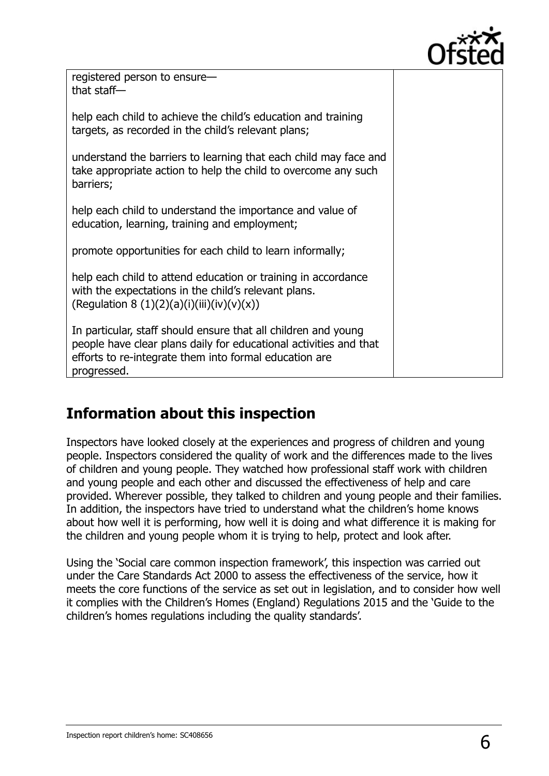

registered person to ensure that staff—

help each child to achieve the child's education and training targets, as recorded in the child's relevant plans;

understand the barriers to learning that each child may face and take appropriate action to help the child to overcome any such barriers;

help each child to understand the importance and value of education, learning, training and employment;

promote opportunities for each child to learn informally;

help each child to attend education or training in accordance with the expectations in the child's relevant plans. (Regulation 8 (1)(2)(a)(i)(iii)(iv)(v)(x))

In particular, staff should ensure that all children and young people have clear plans daily for educational activities and that efforts to re-integrate them into formal education are progressed.

# **Information about this inspection**

Inspectors have looked closely at the experiences and progress of children and young people. Inspectors considered the quality of work and the differences made to the lives of children and young people. They watched how professional staff work with children and young people and each other and discussed the effectiveness of help and care provided. Wherever possible, they talked to children and young people and their families. In addition, the inspectors have tried to understand what the children's home knows about how well it is performing, how well it is doing and what difference it is making for the children and young people whom it is trying to help, protect and look after.

Using the 'Social care common inspection framework', this inspection was carried out under the Care Standards Act 2000 to assess the effectiveness of the service, how it meets the core functions of the service as set out in legislation, and to consider how well it complies with the Children's Homes (England) Regulations 2015 and the 'Guide to the children's homes regulations including the quality standards'.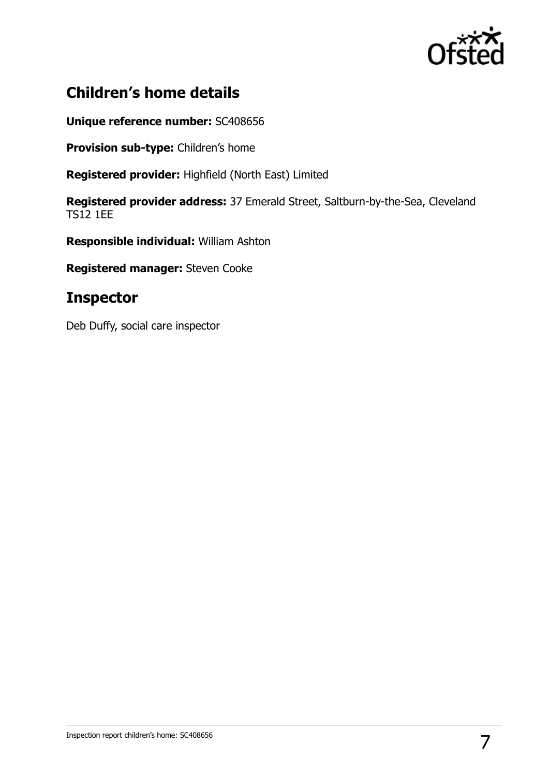

# **Children's home details**

**Unique reference number:** SC408656

**Provision sub-type:** Children's home

**Registered provider:** Highfield (North East) Limited

**Registered provider address:** 37 Emerald Street, Saltburn-by-the-Sea, Cleveland TS12 1EE

**Responsible individual:** William Ashton

**Registered manager:** Steven Cooke

## **Inspector**

Deb Duffy, social care inspector